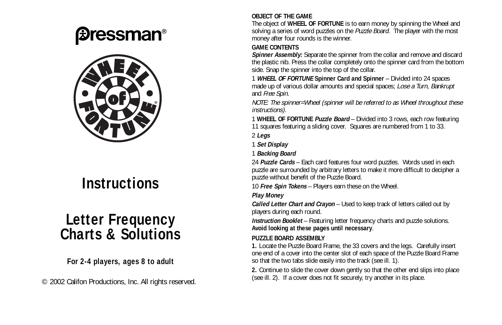# *<u>Bressman®</u>*



## **Instructions**

### **Letter Frequency Charts & Solutions**

#### **For 2-4 players, ages 8 to adult**

© 2002 Califon Productions, Inc. All rights reserved.

#### **OBJECT OF THE GAME**

The object of **WHEEL OF FORTUNE** is to earn money by spinning the Wheel and solving a series of word puzzles on the Puzzle Board. The player with the most money after four rounds is the winner.

#### **GAME CONTENTS**

**Spinner Assembly:** Separate the spinner from the collar and remove and discard the plastic nib. Press the collar completely onto the spinner card from the bottom side. Snap the spinner into the top of the collar.

1 **WHEEL OF FORTUNE Spinner Card and Spinner** – Divided into 24 spaces made up of various dollar amounts and special spaces; Lose a Turn, Bankrupt and Free Spin.

NOTE: The spinner=Wheel (spinner will be referred to as Wheel throughout these instructions).

1 **WHEEL OF FORTUNE Puzzle Board** – Divided into 3 rows, each row featuring 11 squares featuring a sliding cover. Squares are numbered from 1 to 33.

2 **Legs**

1 **Set Display**

1 **Backing Board**

24 **Puzzle Cards** – Each card features four word puzzles. Words used in each puzzle are surrounded by arbitrary letters to make it more difficult to decipher a puzzle without benefit of the Puzzle Board.

10 **Free Spin Tokens** – Players earn these on the Wheel.

#### **Play Money**

**Called Letter Chart and Crayon** – Used to keep track of letters called out by players during each round.

**Instruction Booklet** – Featuring letter frequency charts and puzzle solutions. **Avoid looking at these pages until necessary**.

#### **PUZZLE BOARD ASSEMBLY**

**1.** Locate the Puzzle Board Frame, the 33 covers and the legs. Carefully insert one end of a cover into the center slot of each space of the Puzzle Board Frame so that the two tabs slide easily into the track (see ill. 1).

**2.** Continue to slide the cover down gently so that the other end slips into place (see ill. 2). If a cover does not fit securely, try another in its place.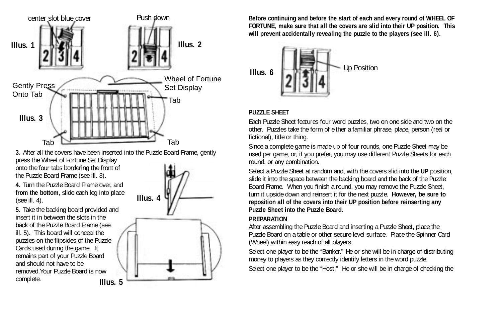

**3.** After all the covers have been inserted into the Puzzle Board Frame, gently press the Wheel of Fortune Set Display onto the four tabs bordering the front of the Puzzle Board Frame (see ill. 3).

**4.** Turn the Puzzle Board Frame over, and **from the bottom**, slide each leg into place (see ill. 4).

**5.** Take the backing board provided and insert it in between the slots in the back of the Puzzle Board Frame (see ill. 5). This board will conceal the puzzles on the flipsides of the Puzzle Cards used during the game. It remains part of your Puzzle Board and should not have to be removed.Your Puzzle Board is now complete. **Illus. 5**



**Before continuing and before the start of each and every round of WHEEL OF FORTUNE, make sure that all the covers are slid into their UP position. This will prevent accidentally revealing the puzzle to the players (see ill. 6).**



#### **PUZZLE SHEET**

Each Puzzle Sheet features four word puzzles, two on one side and two on the other. Puzzles take the form of either a familiar phrase, place, person (real or fictional), title or thing.

Since a complete game is made up of four rounds, one Puzzle Sheet may be used per game, or, if you prefer, you may use different Puzzle Sheets for each round, or any combination.

Select a Puzzle Sheet at random and, with the covers slid into the **UP** position, slide it into the space between the backing board and the back of the Puzzle Board Frame. When you finish a round, you may remove the Puzzle Sheet, turn it upside down and reinsert it for the next puzzle. **However, be sure to reposition all of the covers into their UP position before reinserting any Puzzle Sheet into the Puzzle Board.**

#### **PREPARATION**

After assembling the Puzzle Board and inserting a Puzzle Sheet, place the Puzzle Board on a table or other secure level surface. Place the Spinner Card (Wheel) within easy reach of all players.

Select one player to be the "Banker." He or she will be in charge of distributing money to players as they correctly identify letters in the word puzzle.

Select one player to be the "Host." He or she will be in charge of checking the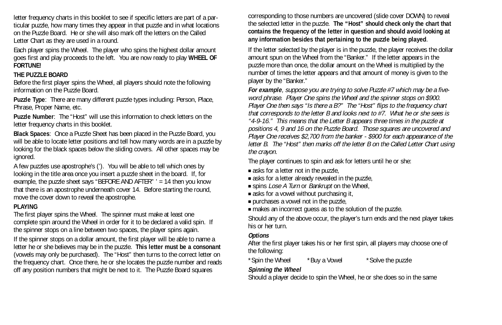letter frequency charts in this booklet to see if specific letters are part of a particular puzzle, how many times they appear in that puzzle and in what locations on the Puzzle Board. He or she will also mark off the letters on the Called Letter Chart as they are used in a round.

Each player spins the Wheel. The player who spins the highest dollar amount goes first and play proceeds to the left. You are now ready to play **WHEEL OF FORTUNE!**

#### **THE PUZZLE BOARD**

Before the first player spins the Wheel, all players should note the following information on the Puzzle Board.

**Puzzle Type**: There are many different puzzle types including: Person, Place, Phrase, Proper Name, etc.

**Puzzle Number**: The "Host" will use this information to check letters on the letter frequency charts in this booklet.

**Black Spaces**: Once a Puzzle Sheet has been placed in the Puzzle Board, you will be able to locate letter positions and tell how many words are in a puzzle by looking for the black spaces below the sliding covers. All other spaces may be ignored.

A few puzzles use apostrophe's ('). You will be able to tell which ones by looking in the title area once you insert a puzzle sheet in the board. If, for example, the puzzle sheet says "BEFORE AND AFTER" ' = 14 then you know that there is an apostrophe underneath cover 14. Before starting the round, move the cover down to reveal the apostrophe.

#### **PLAYING**

The first player spins the Wheel. The spinner must make at least one complete spin around the Wheel in order for it to be declared a valid spin. If the spinner stops on a line between two spaces, the player spins again.

If the spinner stops on a dollar amount, the first player will be able to name a letter he or she believes may be in the puzzle. **This letter must be a consonant** (vowels may only be purchased). The "Host" then turns to the correct letter on the frequency chart. Once there, he or she locates the puzzle number and reads off any position numbers that might be next to it. The Puzzle Board squares

corresponding to those numbers are uncovered (slide cover DOWN) to reveal the selected letter in the puzzle. **The "Host" should check only the chart that contains the frequency of the letter in question and should avoid looking at any information besides that pertaining to the puzzle being played**.

If the letter selected by the player is in the puzzle, the player receives the dollar amount spun on the Wheel from the "Banker." If the letter appears in the puzzle more than once, the dollar amount on the Wheel is multiplied by the number of times the letter appears and that amount of money is given to the player by the "Banker."

**For example**, suppose you are trying to solve Puzzle #7 which may be a fiveword phrase. Player One spins the Wheel and the spinner stops on \$900. Player One then says "Is there a B?" The "Host" flips to the frequency chart that corresponds to the letter B and looks next to #7. What he or she sees is "4-9-16." This means that the Letter B appears three times in the puzzle at positions 4, 9 and 16 on the Puzzle Board. Those squares are uncovered and Player One receives \$2,700 from the banker - \$900 for each appearance of the letter B. The "Host" then marks off the letter B on the Called Letter Chart using the crayon.

The player continues to spin and ask for letters until he or she:

- asks for a letter not in the puzzle.
- asks for a letter already revealed in the puzzle.
- spins *Lose A Turn* or *Bankrupt* on the Wheel,
- asks for a vowel without purchasing it,
- purchases a vowel not in the puzzle,
- makes an incorrect quess as to the solution of the puzzle.

Should any of the above occur, the player's turn ends and the next player takes his or her turn.

#### **Options**

After the first player takes his or her first spin, all players may choose one of the following:

\*Spin the Wheel \*Buy a Vowel \*Solve the puzzle

#### **Spinning the Wheel**

Should a player decide to spin the Wheel, he or she does so in the same